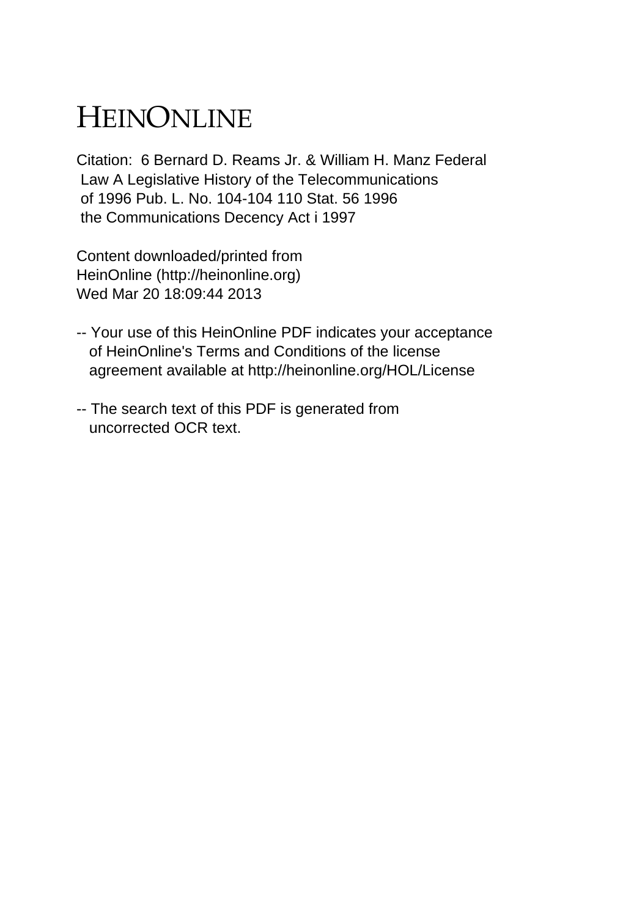## HEINONLINE

Citation: 6 Bernard D. Reams Jr. & William H. Manz Federal Law A Legislative History of the Telecommunications of 1996 Pub. L. No. 104-104 110 Stat. 56 1996 the Communications Decency Act i 1997

Content downloaded/printed from HeinOnline (http://heinonline.org) Wed Mar 20 18:09:44 2013

- -- Your use of this HeinOnline PDF indicates your acceptance of HeinOnline's Terms and Conditions of the license agreement available at http://heinonline.org/HOL/License
- -- The search text of this PDF is generated from uncorrected OCR text.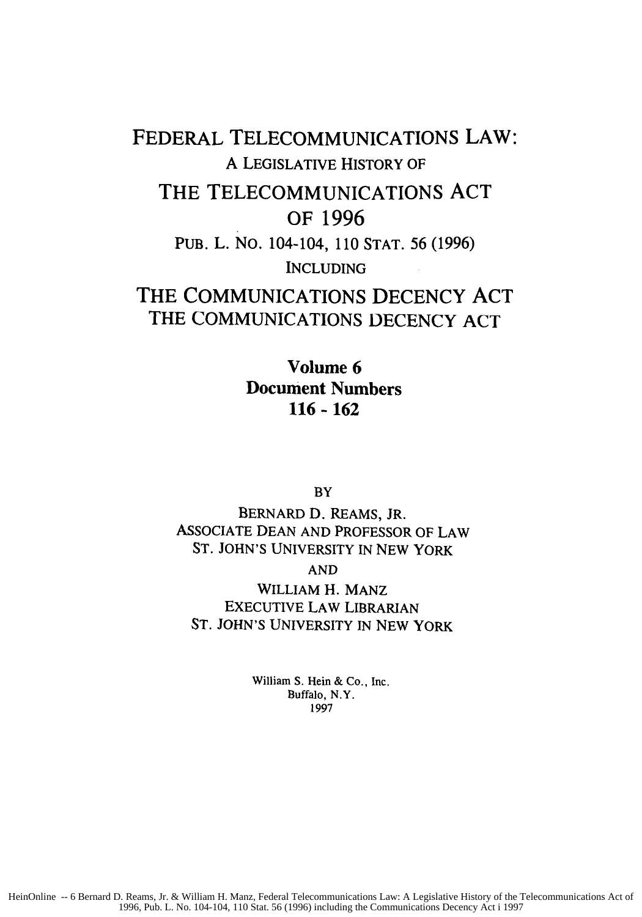FEDERAL **TELECOMMUNICATIONS** LAW: A LEGISLATIVE HISTORY OF THE **TELECOMMUNICATIONS ACT** OF **1996 PUB.** L. **NO.** 104-104, **110 STAT. 56 (1996)** INCLUDING THE **COMMUNICATIONS** DECENCY **ACT** THE **COMMUNICATIONS DECENCY ACT**

> Volume **6** Document Numbers **116 - 162**

> > BY

BERNARD D. REAMS, JR. **ASSOCIATE DEAN AND** PROFESSOR OF LAW **ST. JOHN'S** UNIVERSITY **IN NEW** YORK

**AND**

WILLIAM H. **MANZ EXECUTIVE** LAW LIBRARIAN ST. JOHN'S UNIVERSITY IN NEW YORK

> William S. Hein & Co., Inc. Buffalo, N.Y. 1997